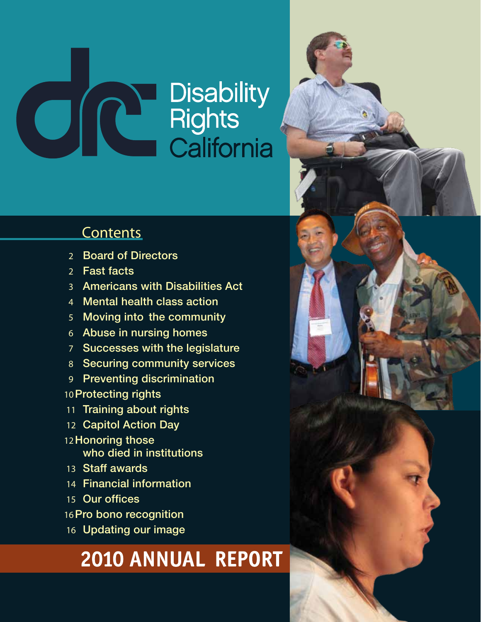# **OSTAN Disability<br>COSTAN Rights<br>California**

# **Contents**

- Board of Directors
- Fast facts
- Americans with Disabilities Act
- Mental health class action
- Moving into the community
- Abuse in nursing homes
- Successes with the legislature
- Securing community services
- Preventing discrimination
- Protecting rights
- Training about rights
- Capitol Action Day
- Honoring those who died in institutions
- Staff awards
- Financial information
- 15 Our offices
- Pro bono recognition
- Updating our image

# 2010 ANNUAL REPORT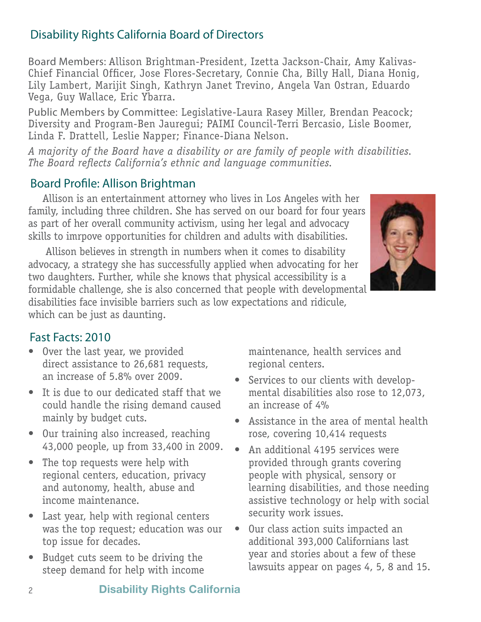# Disability Rights California Board of Directors

Board Members: Allison Brightman-President, Izetta Jackson-Chair, Amy Kalivas-Chief Financial Officer, Jose Flores-Secretary, Connie Cha, Billy Hall, Diana Honig, Lily Lambert, Marijit Singh, Kathryn Janet Trevino, Angela Van Ostran, Eduardo Vega, Guy Wallace, Eric Ybarra.

Public Members by Committee: Legislative-Laura Rasey Miller, Brendan Peacock; Diversity and Program-Ben Jauregui; PAIMI Council-Terri Bercasio, Lisle Boomer, Linda F. Drattell, Leslie Napper; Finance-Diana Nelson.

*A majority of the Board have a disability or are family of people with disabilities. The Board reflects California's ethnic and language communities.*

# Board Profile: Allison Brightman

Allison is an entertainment attorney who lives in Los Angeles with her family, including three children. She has served on our board for four years as part of her overall community activism, using her legal and advocacy skills to imrpove opportunities for children and adults with disabilities.

 Allison believes in strength in numbers when it comes to disability advocacy, a strategy she has successfully applied when advocating for her two daughters. Further, while she knows that physical accessibility is a formidable challenge, she is also concerned that people with developmental disabilities face invisible barriers such as low expectations and ridicule, which can be just as daunting.



- Over the last year, we provided direct assistance to 26,681 requests, an increase of 5.8% over 2009.
- It is due to our dedicated staff that we could handle the rising demand caused mainly by budget cuts.
- Our training also increased, reaching 43,000 people, up from 33,400 in 2009.
- The top requests were help with regional centers, education, privacy and autonomy, health, abuse and income maintenance.
- Last year, help with regional centers was the top request; education was our top issue for decades.
- Budget cuts seem to be driving the steep demand for help with income

maintenance, health services and regional centers.

- • Services to our clients with developmental disabilities also rose to 12,073, an increase of 4%
- Assistance in the area of mental health rose, covering 10,414 requests
- An additional 4195 services were provided through grants covering people with physical, sensory or learning disabilities, and those needing assistive technology or help with social security work issues.
- Our class action suits impacted an additional 393,000 Californians last year and stories about a few of these lawsuits appear on pages 4, 5, 8 and 15.

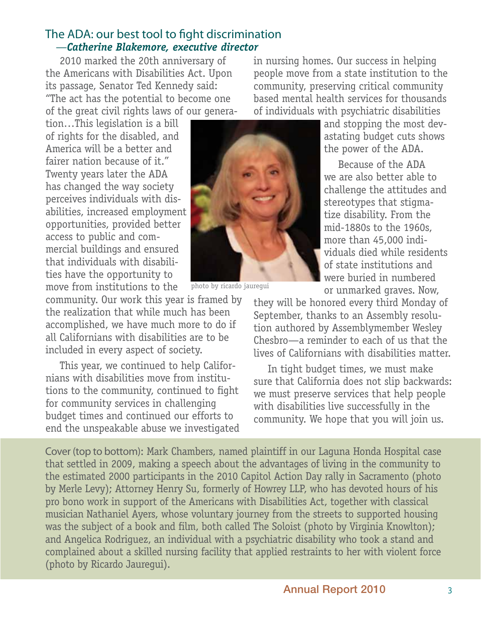# The ADA: our best tool to fight discrimination —*Catherine Blakemore, executive director*

2010 marked the 20th anniversary of the Americans with Disabilities Act. Upon its passage, Senator Ted Kennedy said: "The act has the potential to become one of the great civil rights laws of our genera-

tion…This legislation is a bill of rights for the disabled, and America will be a better and fairer nation because of it." Twenty years later the ADA has changed the way society perceives individuals with disabilities, increased employment opportunities, provided better access to public and commercial buildings and ensured that individuals with disabilities have the opportunity to move from institutions to the

community. Our work this year is framed by the realization that while much has been accomplished, we have much more to do if all Californians with disabilities are to be included in every aspect of society.

This year, we continued to help Californians with disabilities move from institutions to the community, continued to fight for community services in challenging budget times and continued our efforts to end the unspeakable abuse we investigated



photo by ricardo jauregui

in nursing homes. Our success in helping people move from a state institution to the community, preserving critical community based mental health services for thousands of individuals with psychiatric disabilities

and stopping the most devastating budget cuts shows the power of the ADA.

Because of the ADA we are also better able to challenge the attitudes and stereotypes that stigmatize disability. From the mid-1880s to the 1960s, more than 45,000 individuals died while residents of state institutions and were buried in numbered or unmarked graves. Now,

they will be honored every third Monday of September, thanks to an Assembly resolution authored by Assemblymember Wesley Chesbro—a reminder to each of us that the lives of Californians with disabilities matter.

In tight budget times, we must make sure that California does not slip backwards: we must preserve services that help people with disabilities live successfully in the community. We hope that you will join us.

Cover (top to bottom): Mark Chambers, named plaintiff in our Laguna Honda Hospital case that settled in 2009, making a speech about the advantages of living in the community to the estimated 2000 participants in the 2010 Capitol Action Day rally in Sacramento (photo by Merle Levy); Attorney Henry Su, formerly of Howrey LLP, who has devoted hours of his pro bono work in support of the Americans with Disabilities Act, together with classical musician Nathaniel Ayers, whose voluntary journey from the streets to supported housing was the subject of a book and film, both called The Soloist (photo by Virginia Knowlton); and Angelica Rodriguez, an individual with a psychiatric disability who took a stand and complained about a skilled nursing facility that applied restraints to her with violent force (photo by Ricardo Jauregui).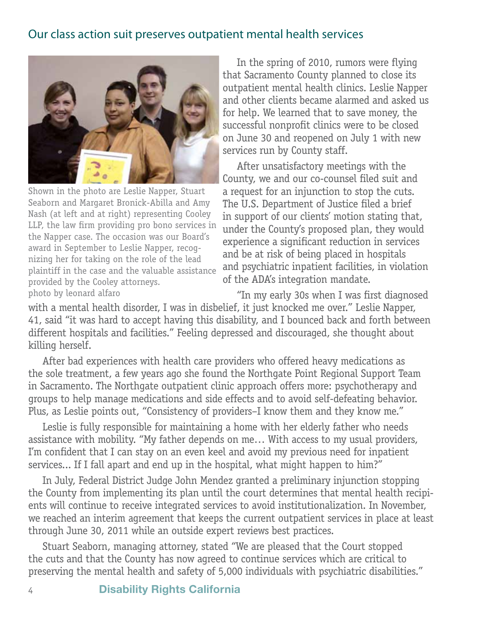# Our class action suit preserves outpatient mental health services



Shown in the photo are Leslie Napper, Stuart Seaborn and Margaret Bronick-Abilla and Amy Nash (at left and at right) representing Cooley LLP, the law firm providing pro bono services in the Napper case. The occasion was our Board's award in September to Leslie Napper, recognizing her for taking on the role of the lead plaintiff in the case and the valuable assistance provided by the Cooley attorneys. photo by leonard alfaro

In the spring of 2010, rumors were flying that Sacramento County planned to close its outpatient mental health clinics. Leslie Napper and other clients became alarmed and asked us for help. We learned that to save money, the successful nonprofit clinics were to be closed on June 30 and reopened on July 1 with new services run by County staff.

After unsatisfactory meetings with the County, we and our co-counsel filed suit and a request for an injunction to stop the cuts. The U.S. Department of Justice filed a brief in support of our clients' motion stating that, under the County's proposed plan, they would experience a significant reduction in services and be at risk of being placed in hospitals and psychiatric inpatient facilities, in violation of the ADA's integration mandate.

"In my early 30s when I was first diagnosed with a mental health disorder, I was in disbelief, it just knocked me over." Leslie Napper, 41, said "it was hard to accept having this disability, and I bounced back and forth between different hospitals and facilities." Feeling depressed and discouraged, she thought about killing herself.

After bad experiences with health care providers who offered heavy medications as the sole treatment, a few years ago she found the Northgate Point Regional Support Team in Sacramento. The Northgate outpatient clinic approach offers more: psychotherapy and groups to help manage medications and side effects and to avoid self-defeating behavior. Plus, as Leslie points out, "Consistency of providers–I know them and they know me."

Leslie is fully responsible for maintaining a home with her elderly father who needs assistance with mobility. "My father depends on me… With access to my usual providers, I'm confident that I can stay on an even keel and avoid my previous need for inpatient services... If I fall apart and end up in the hospital, what might happen to him?"

In July, Federal District Judge John Mendez granted a preliminary injunction stopping the County from implementing its plan until the court determines that mental health recipients will continue to receive integrated services to avoid institutionalization. In November, we reached an interim agreement that keeps the current outpatient services in place at least through June 30, 2011 while an outside expert reviews best practices.

Stuart Seaborn, managing attorney, stated "We are pleased that the Court stopped the cuts and that the County has now agreed to continue services which are critical to preserving the mental health and safety of 5,000 individuals with psychiatric disabilities."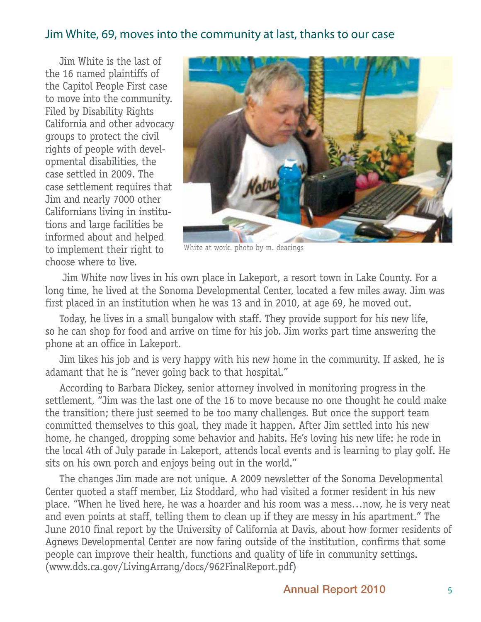# Jim White, 69, moves into the community at last, thanks to our case

Jim White is the last of the 16 named plaintiffs of the Capitol People First case to move into the community. Filed by Disability Rights California and other advocacy groups to protect the civil rights of people with developmental disabilities, the case settled in 2009. The case settlement requires that Jim and nearly 7000 other Californians living in institutions and large facilities be informed about and helped to implement their right to choose where to live.



White at work. photo by m. dearings

 Jim White now lives in his own place in Lakeport, a resort town in Lake County. For a long time, he lived at the Sonoma Developmental Center, located a few miles away. Jim was first placed in an institution when he was 13 and in 2010, at age 69, he moved out.

Today, he lives in a small bungalow with staff. They provide support for his new life, so he can shop for food and arrive on time for his job. Jim works part time answering the phone at an office in Lakeport.

Jim likes his job and is very happy with his new home in the community. If asked, he is adamant that he is "never going back to that hospital."

According to Barbara Dickey, senior attorney involved in monitoring progress in the settlement, "Jim was the last one of the 16 to move because no one thought he could make the transition; there just seemed to be too many challenges. But once the support team committed themselves to this goal, they made it happen. After Jim settled into his new home, he changed, dropping some behavior and habits. He's loving his new life: he rode in the local 4th of July parade in Lakeport, attends local events and is learning to play golf. He sits on his own porch and enjoys being out in the world."

The changes Jim made are not unique. A 2009 newsletter of the Sonoma Developmental Center quoted a staff member, Liz Stoddard, who had visited a former resident in his new place. "When he lived here, he was a hoarder and his room was a mess…now, he is very neat and even points at staff, telling them to clean up if they are messy in his apartment." The June 2010 final report by the University of California at Davis, about how former residents of Agnews Developmental Center are now faring outside of the institution, confirms that some people can improve their health, functions and quality of life in community settings. (www.dds.ca.gov/LivingArrang/docs/962FinalReport.pdf)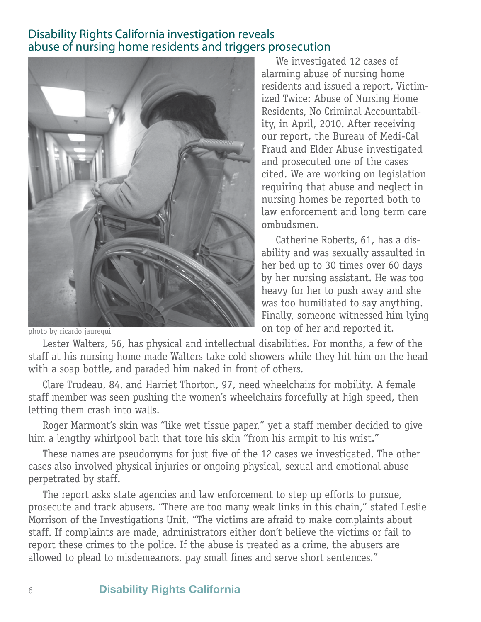# Disability Rights California investigation reveals abuse of nursing home residents and triggers prosecution



photo by ricardo jauregui

We investigated 12 cases of alarming abuse of nursing home residents and issued a report, Victimized Twice: Abuse of Nursing Home Residents, No Criminal Accountability, in April, 2010. After receiving our report, the Bureau of Medi-Cal Fraud and Elder Abuse investigated and prosecuted one of the cases cited. We are working on legislation requiring that abuse and neglect in nursing homes be reported both to law enforcement and long term care ombudsmen.

Catherine Roberts, 61, has a disability and was sexually assaulted in her bed up to 30 times over 60 days by her nursing assistant. He was too heavy for her to push away and she was too humiliated to say anything. Finally, someone witnessed him lying on top of her and reported it.

Lester Walters, 56, has physical and intellectual disabilities. For months, a few of the staff at his nursing home made Walters take cold showers while they hit him on the head with a soap bottle, and paraded him naked in front of others.

Clare Trudeau, 84, and Harriet Thorton, 97, need wheelchairs for mobility. A female staff member was seen pushing the women's wheelchairs forcefully at high speed, then letting them crash into walls.

Roger Marmont's skin was "like wet tissue paper," yet a staff member decided to give him a lengthy whirlpool bath that tore his skin "from his armpit to his wrist."

These names are pseudonyms for just five of the 12 cases we investigated. The other cases also involved physical injuries or ongoing physical, sexual and emotional abuse perpetrated by staff.

The report asks state agencies and law enforcement to step up efforts to pursue, prosecute and track abusers. "There are too many weak links in this chain," stated Leslie Morrison of the Investigations Unit. "The victims are afraid to make complaints about staff. If complaints are made, administrators either don't believe the victims or fail to report these crimes to the police. If the abuse is treated as a crime, the abusers are allowed to plead to misdemeanors, pay small fines and serve short sentences."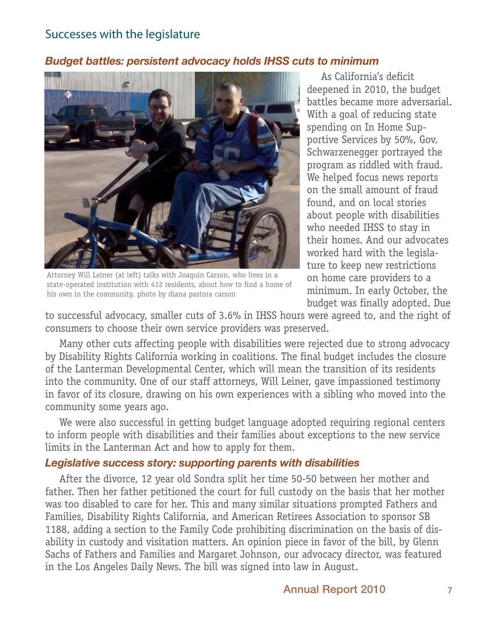# Successes with the legislature

### *Budget battles: persistent advocacy holds IHSS cuts to minimum*



Attorney Will Leiner (at left) talks with Joaquin Carson, who lives in a state-operated institution with 412 residents, about how to find a home of his own in the community. photo by diana pastora carson

As California's deficit deepened in 2010, the budget battles became more adversarial. With a goal of reducing state spending on In Home Supportive Services by 50%, Gov. Schwarzenegger portrayed the program as riddled with fraud. We helped focus news reports on the small amount of fraud found, and on local stories about people with disabilities who needed IHSS to stay in their homes. And our advocates worked hard with the legislature to keep new restrictions on home care providers to a minimum. In early October, the budget was finally adopted. Due

to successful advocacy, smaller cuts of 3.6% in IHSS hours were agreed to, and the right of consumers to choose their own service providers was preserved.

Many other cuts affecting people with disabilities were rejected due to strong advocacy by Disability Rights California working in coalitions. The final budget includes the closure of the Lanterman Developmental Center, which will mean the transition of its residents into the community. One of our staff attorneys, Will Leiner, gave impassioned testimony in favor of its closure, drawing on his own experiences with a sibling who moved into the community some years ago.

We were also successful in getting budget language adopted requiring regional centers to inform people with disabilities and their families about exceptions to the new service limits in the Lanterman Act and how to apply for them.

### *Legislative success story: supporting parents with disabilities*

After the divorce, 12 year old Sondra split her time 50-50 between her mother and father. Then her father petitioned the court for full custody on the basis that her mother was too disabled to care for her. This and many similar situations prompted Fathers and Families, Disability Rights California, and American Retirees Association to sponsor SB 1188, adding a section to the Family Code prohibiting discrimination on the basis of disability in custody and visitation matters. An opinion piece in favor of the bill, by Glenn Sachs of Fathers and Families and Margaret Johnson, our advocacy director, was featured in the Los Angeles Daily News. The bill was signed into law in August.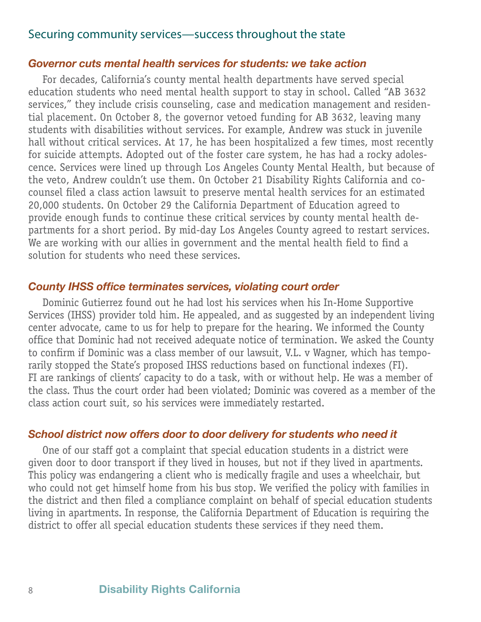# Securing community services—success throughout the state

### *Governor cuts mental health services for students: we take action*

For decades, California's county mental health departments have served special education students who need mental health support to stay in school. Called "AB 3632 services," they include crisis counseling, case and medication management and residential placement. On October 8, the governor vetoed funding for AB 3632, leaving many students with disabilities without services. For example, Andrew was stuck in juvenile hall without critical services. At 17, he has been hospitalized a few times, most recently for suicide attempts. Adopted out of the foster care system, he has had a rocky adolescence. Services were lined up through Los Angeles County Mental Health, but because of the veto, Andrew couldn't use them. On October 21 Disability Rights California and cocounsel filed a class action lawsuit to preserve mental health services for an estimated 20,000 students. On October 29 the California Department of Education agreed to provide enough funds to continue these critical services by county mental health departments for a short period. By mid-day Los Angeles County agreed to restart services. We are working with our allies in government and the mental health field to find a solution for students who need these services.

### *County IHSS office terminates services, violating court order*

Dominic Gutierrez found out he had lost his services when his In-Home Supportive Services (IHSS) provider told him. He appealed, and as suggested by an independent living center advocate, came to us for help to prepare for the hearing. We informed the County office that Dominic had not received adequate notice of termination. We asked the County to confirm if Dominic was a class member of our lawsuit, V.L. v Wagner, which has temporarily stopped the State's proposed IHSS reductions based on functional indexes (FI). FI are rankings of clients' capacity to do a task, with or without help. He was a member of the class. Thus the court order had been violated; Dominic was covered as a member of the class action court suit, so his services were immediately restarted.

### *School district now offers door to door delivery for students who need it*

One of our staff got a complaint that special education students in a district were given door to door transport if they lived in houses, but not if they lived in apartments. This policy was endangering a client who is medically fragile and uses a wheelchair, but who could not get himself home from his bus stop. We verified the policy with families in the district and then filed a compliance complaint on behalf of special education students living in apartments. In response, the California Department of Education is requiring the district to offer all special education students these services if they need them.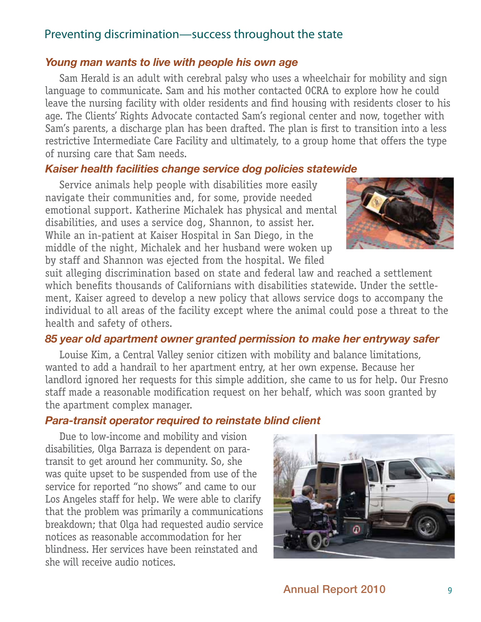# Preventing discrimination—success throughout the state

# *Young man wants to live with people his own age*

Sam Herald is an adult with cerebral palsy who uses a wheelchair for mobility and sign language to communicate. Sam and his mother contacted OCRA to explore how he could leave the nursing facility with older residents and find housing with residents closer to his age. The Clients' Rights Advocate contacted Sam's regional center and now, together with Sam's parents, a discharge plan has been drafted. The plan is first to transition into a less restrictive Intermediate Care Facility and ultimately, to a group home that offers the type of nursing care that Sam needs.

## *Kaiser health facilities change service dog policies statewide*

Service animals help people with disabilities more easily navigate their communities and, for some, provide needed emotional support. Katherine Michalek has physical and mental disabilities, and uses a service dog, Shannon, to assist her. While an in-patient at Kaiser Hospital in San Diego, in the middle of the night, Michalek and her husband were woken up by staff and Shannon was ejected from the hospital. We filed



suit alleging discrimination based on state and federal law and reached a settlement which benefits thousands of Californians with disabilities statewide. Under the settlement, Kaiser agreed to develop a new policy that allows service dogs to accompany the individual to all areas of the facility except where the animal could pose a threat to the health and safety of others.

# *85 year old apartment owner granted permission to make her entryway safer*

Louise Kim, a Central Valley senior citizen with mobility and balance limitations, wanted to add a handrail to her apartment entry, at her own expense. Because her landlord ignored her requests for this simple addition, she came to us for help. Our Fresno staff made a reasonable modification request on her behalf, which was soon granted by the apartment complex manager.

### *Para-transit operator required to reinstate blind client*

Due to low-income and mobility and vision disabilities, Olga Barraza is dependent on paratransit to get around her community. So, she was quite upset to be suspended from use of the service for reported "no shows" and came to our Los Angeles staff for help. We were able to clarify that the problem was primarily a communications breakdown; that Olga had requested audio service notices as reasonable accommodation for her blindness. Her services have been reinstated and she will receive audio notices.

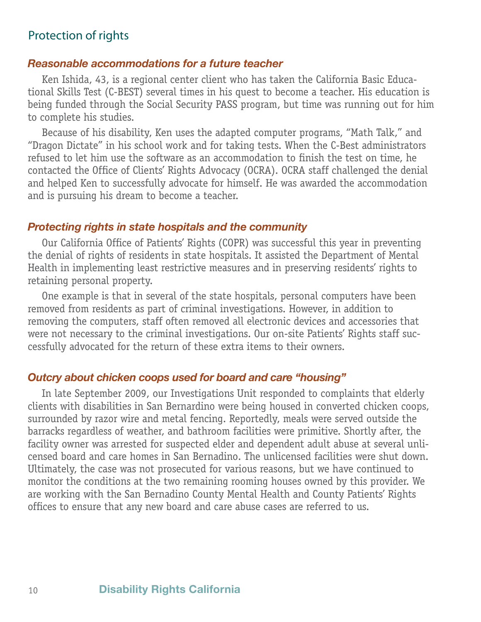# Protection of rights

### *Reasonable accommodations for a future teacher*

Ken Ishida, 43, is a regional center client who has taken the California Basic Educational Skills Test (C-BEST) several times in his quest to become a teacher. His education is being funded through the Social Security PASS program, but time was running out for him to complete his studies.

Because of his disability, Ken uses the adapted computer programs, "Math Talk," and "Dragon Dictate" in his school work and for taking tests. When the C-Best administrators refused to let him use the software as an accommodation to finish the test on time, he contacted the Office of Clients' Rights Advocacy (OCRA). OCRA staff challenged the denial and helped Ken to successfully advocate for himself. He was awarded the accommodation and is pursuing his dream to become a teacher.

### *Protecting rights in state hospitals and the community*

Our California Office of Patients' Rights (COPR) was successful this year in preventing the denial of rights of residents in state hospitals. It assisted the Department of Mental Health in implementing least restrictive measures and in preserving residents' rights to retaining personal property.

One example is that in several of the state hospitals, personal computers have been removed from residents as part of criminal investigations. However, in addition to removing the computers, staff often removed all electronic devices and accessories that were not necessary to the criminal investigations. Our on-site Patients' Rights staff successfully advocated for the return of these extra items to their owners.

### *Outcry about chicken coops used for board and care "housing"*

In late September 2009, our Investigations Unit responded to complaints that elderly clients with disabilities in San Bernardino were being housed in converted chicken coops, surrounded by razor wire and metal fencing. Reportedly, meals were served outside the barracks regardless of weather, and bathroom facilities were primitive. Shortly after, the facility owner was arrested for suspected elder and dependent adult abuse at several unlicensed board and care homes in San Bernadino. The unlicensed facilities were shut down. Ultimately, the case was not prosecuted for various reasons, but we have continued to monitor the conditions at the two remaining rooming houses owned by this provider. We are working with the San Bernadino County Mental Health and County Patients' Rights offices to ensure that any new board and care abuse cases are referred to us.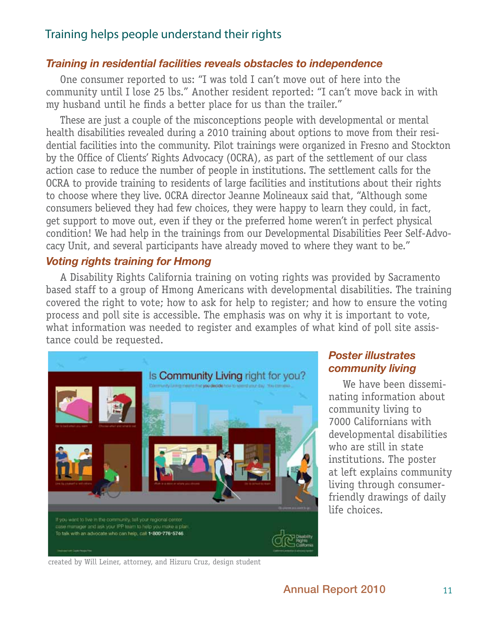# Training helps people understand their rights

### *Training in residential facilities reveals obstacles to independence*

One consumer reported to us: "I was told I can't move out of here into the community until I lose 25 lbs." Another resident reported: "I can't move back in with my husband until he finds a better place for us than the trailer."

These are just a couple of the misconceptions people with developmental or mental health disabilities revealed during a 2010 training about options to move from their residential facilities into the community. Pilot trainings were organized in Fresno and Stockton by the Office of Clients' Rights Advocacy (OCRA), as part of the settlement of our class action case to reduce the number of people in institutions. The settlement calls for the OCRA to provide training to residents of large facilities and institutions about their rights to choose where they live. OCRA director Jeanne Molineaux said that, "Although some consumers believed they had few choices, they were happy to learn they could, in fact, get support to move out, even if they or the preferred home weren't in perfect physical condition! We had help in the trainings from our Developmental Disabilities Peer Self-Advocacy Unit, and several participants have already moved to where they want to be."

### *Voting rights training for Hmong*

A Disability Rights California training on voting rights was provided by Sacramento based staff to a group of Hmong Americans with developmental disabilities. The training covered the right to vote; how to ask for help to register; and how to ensure the voting process and poll site is accessible. The emphasis was on why it is important to vote, what information was needed to register and examples of what kind of poll site assistance could be requested.



# *Poster illustrates community living*

We have been disseminating information about community living to 7000 Californians with developmental disabilities who are still in state institutions. The poster at left explains community living through consumerfriendly drawings of daily life choices.

created by Will Leiner, attorney, and Hizuru Cruz, design student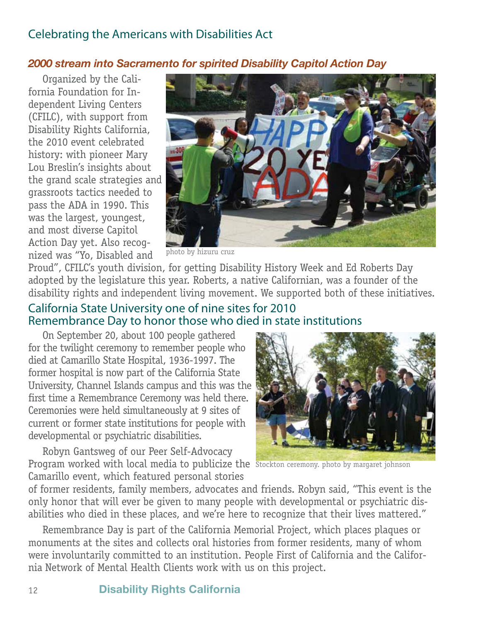# Celebrating the Americans with Disabilities Act

# *2000 stream into Sacramento for spirited Disability Capitol Action Day*

Organized by the California Foundation for Independent Living Centers (CFILC), with support from Disability Rights California, the 2010 event celebrated history: with pioneer Mary Lou Breslin's insights about the grand scale strategies and grassroots tactics needed to pass the ADA in 1990. This was the largest, youngest, and most diverse Capitol Action Day yet. Also recognized was "Yo, Disabled and



photo by hizuru cruz

Proud", CFILC's youth division, for getting Disability History Week and Ed Roberts Day adopted by the legislature this year. Roberts, a native Californian, was a founder of the disability rights and independent living movement. We supported both of these initiatives.

# California State University one of nine sites for 2010 Remembrance Day to honor those who died in state institutions

On September 20, about 100 people gathered for the twilight ceremony to remember people who died at Camarillo State Hospital, 1936-1997. The former hospital is now part of the California State University, Channel Islands campus and this was the first time a Remembrance Ceremony was held there. Ceremonies were held simultaneously at 9 sites of current or former state institutions for people with developmental or psychiatric disabilities.

Robyn Gantsweg of our Peer Self-Advocacy Program worked with local media to publicize the Stockton ceremony. photo by margaret johnson Camarillo event, which featured personal stories



of former residents, family members, advocates and friends. Robyn said, "This event is the only honor that will ever be given to many people with developmental or psychiatric disabilities who died in these places, and we're here to recognize that their lives mattered."

Remembrance Day is part of the California Memorial Project, which places plaques or monuments at the sites and collects oral histories from former residents, many of whom were involuntarily committed to an institution. People First of California and the California Network of Mental Health Clients work with us on this project.

### 12 **Disability Rights California**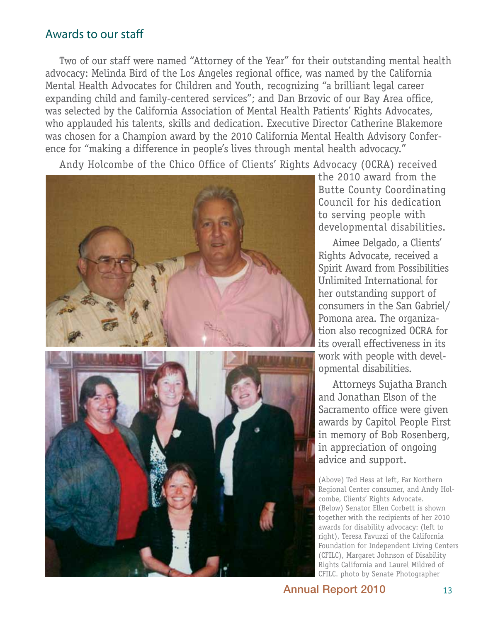# Awards to our staff

Two of our staff were named "Attorney of the Year" for their outstanding mental health advocacy: Melinda Bird of the Los Angeles regional office, was named by the California Mental Health Advocates for Children and Youth, recognizing "a brilliant legal career expanding child and family-centered services"; and Dan Brzovic of our Bay Area office, was selected by the California Association of Mental Health Patients' Rights Advocates, who applauded his talents, skills and dedication. Executive Director Catherine Blakemore was chosen for a Champion award by the 2010 California Mental Health Advisory Conference for "making a difference in people's lives through mental health advocacy."

Andy Holcombe of the Chico Office of Clients' Rights Advocacy (OCRA) received



the 2010 award from the Butte County Coordinating Council for his dedication to serving people with developmental disabilities.

Aimee Delgado, a Clients' Rights Advocate, received a Spirit Award from Possibilities Unlimited International for her outstanding support of consumers in the San Gabriel/ Pomona area. The organization also recognized OCRA for its overall effectiveness in its work with people with developmental disabilities.

Attorneys Sujatha Branch and Jonathan Elson of the Sacramento office were given awards by Capitol People First in memory of Bob Rosenberg, in appreciation of ongoing advice and support.

(Above) Ted Hess at left, Far Northern Regional Center consumer, and Andy Holcombe, Clients' Rights Advocate. (Below) Senator Ellen Corbett is shown together with the recipients of her 2010 awards for disability advocacy: (left to right), Teresa Favuzzi of the California Foundation for Independent Living Centers (CFILC), Margaret Johnson of Disability Rights California and Laurel Mildred of CFILC. photo by Senate Photographer

Annual Report 2010 13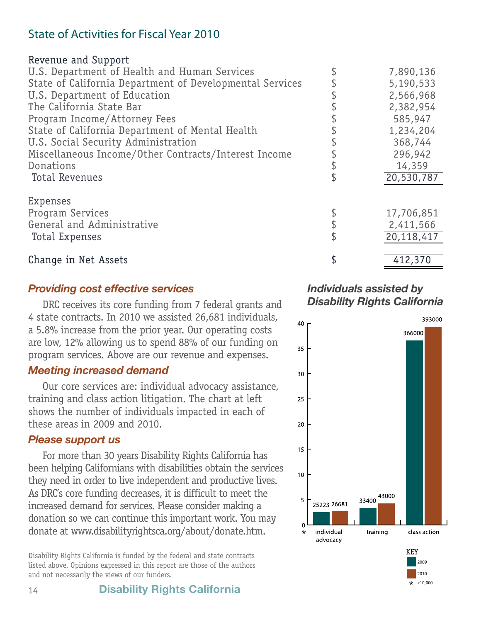# State of Activities for Fiscal Year 2010

### Revenue and Support

| U.S. Department of Health and Human Services             | 7,890,136  |
|----------------------------------------------------------|------------|
| State of California Department of Developmental Services | 5,190,533  |
| U.S. Department of Education                             | 2,566,968  |
| The California State Bar                                 | 2,382,954  |
| Program Income/Attorney Fees                             | 585,947    |
| State of California Department of Mental Health          | 1,234,204  |
| U.S. Social Security Administration                      | 368,744    |
| Miscellaneous Income/Other Contracts/Interest Income     | 296,942    |
| Donations                                                | 14,359     |
| Total Revenues                                           | 20,530,787 |
| Expenses                                                 |            |
| <b>Program Services</b>                                  | 17,706,851 |
| General and Administrative                               | 2,411,566  |
| Total Expenses                                           | 20,118,417 |
|                                                          |            |
| Change in Net Assets                                     | 412,370    |

# *Providing cost effective services*

DRC receives its core funding from 7 federal grants and 4 state contracts. In 2010 we assisted 26,681 individuals, a 5.8% increase from the prior year. Our operating costs are low, 12% allowing us to spend 88% of our funding on program services. Above are our revenue and expenses.

# *Meeting increased demand*

Our core services are: individual advocacy assistance, training and class action litigation. The chart at left shows the number of individuals impacted in each of these areas in 2009 and 2010.

# *Please support us*

For more than 30 years Disability Rights California has been helping Californians with disabilities obtain the services they need in order to live independent and productive lives. As DRC's core funding decreases, it is difficult to meet the increased demand for services. Please consider making a donation so we can continue this important work. You may donate at www.disabilityrightsca.org/about/donate.htm.

Disability Rights California is funded by the federal and state contracts listed above. Opinions expressed in this report are those of the authors and not necessarily the views of our funders.

*Individuals assisted by Disability Rights California*

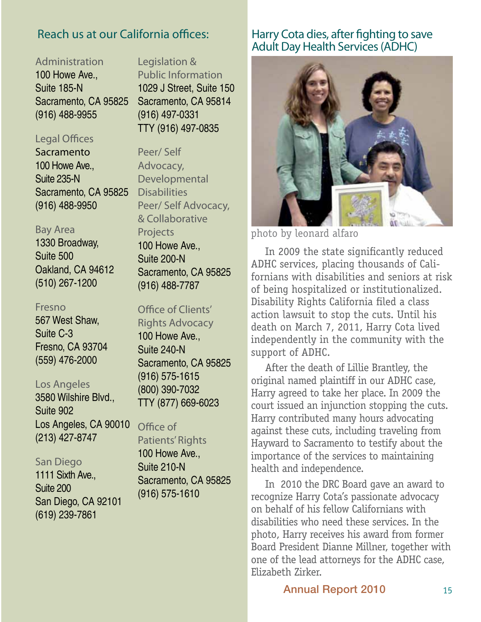# Reach us at our California offices:

Administration 100 Howe Ave. Suite 185-N Sacramento, CA 95825 (916) 488-9955

# Legal Offices

Sacramento 100 Howe Ave., Suite 235-N Sacramento, CA 95825 (916) 488-9950

# Bay Area

1330 Broadway, Suite 500 Oakland, CA 94612 (510) 267-1200

### Fresno

567 West Shaw, Suite C-3 Fresno, CA 93704 (559) 476-2000

### Los Angeles

3580 Wilshire Blvd., Suite 902 Los Angeles, CA 90010 (213) 427-8747

### San Diego

1111 Sixth Ave., Suite 200 San Diego, CA 92101 (619) 239-7861

# Legislation & Public Information 1029 J Street, Suite 150 Sacramento, CA 95814 (916) 497-0331 TTY (916) 497-0835

Peer/ Self Advocacy, Developmental **Disabilities** Peer/ Self Advocacy, & Collaborative Projects 100 Howe Ave., Suite 200-N Sacramento, CA 95825 (916) 488-7787

### Office of Clients'

Rights Advocacy 100 Howe Ave., Suite 240-N Sacramento, CA 95825 (916) 575-1615 (800) 390-7032 TTY (877) 669-6023

### Office of

Patients' Rights 100 Howe Ave., Suite 210-N Sacramento, CA 95825 (916) 575-1610

# Harry Cota dies, after fighting to save Adult Day Health Services (ADHC)



photo by leonard alfaro

Suite 500<br>Suite 200-N<br>Suite 200-N<br>ADHC services placing thousands of Cali-ADHC services, placing thousands of Californians with disabilities and seniors at risk of being hospitalized or institutionalized. Disability Rights California filed a class action lawsuit to stop the cuts. Until his death on March 7, 2011, Harry Cota lived independently in the community with the support of ADHC.

> After the death of Lillie Brantley, the original named plaintiff in our ADHC case, Harry agreed to take her place. In 2009 the court issued an injunction stopping the cuts. Harry contributed many hours advocating against these cuts, including traveling from Hayward to Sacramento to testify about the importance of the services to maintaining health and independence.

In 2010 the DRC Board gave an award to recognize Harry Cota's passionate advocacy on behalf of his fellow Californians with disabilities who need these services. In the photo, Harry receives his award from former Board President Dianne Millner, together with one of the lead attorneys for the ADHC case, Elizabeth Zirker.

# Annual Report 2010 15